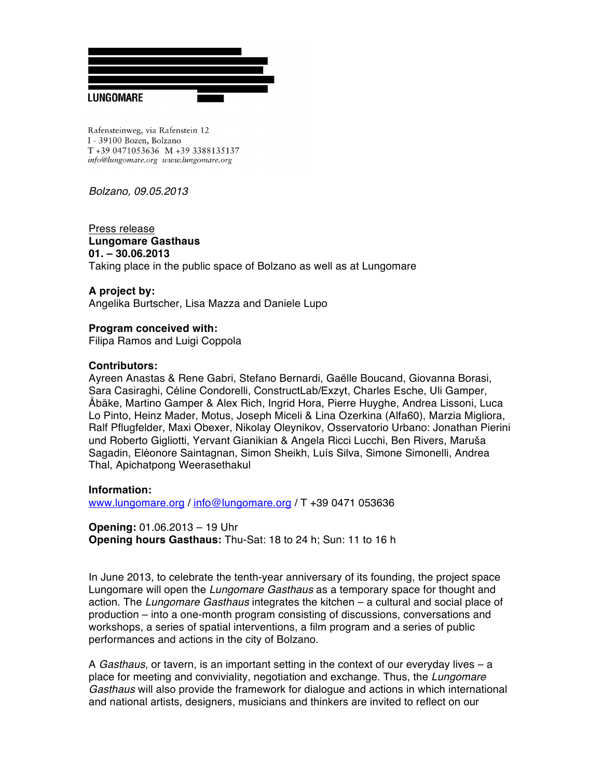

Rafensteinweg, via Rafenstein 12 I - 39100 Bozen, Bolzano T +39 0471053636 M +39 3388135137 info@lungomare.org www.lungomare.org

*Bolzano, 09.05.2013*

Press release **Lungomare Gasthaus 01. – 30.06.2013** Taking place in the public space of Bolzano as well as at Lungomare

#### **A project by:**

Angelika Burtscher, Lisa Mazza and Daniele Lupo

**Program conceived with:** Filipa Ramos and Luigi Coppola

#### **Contributors:**

Ayreen Anastas & Rene Gabri, Stefano Bernardi, Gaëlle Boucand, Giovanna Borasi, Sara Casiraghi, Céline Condorelli, ConstructLab/Exzyt, Charles Esche, Uli Gamper, Åbäke, Martino Gamper & Alex Rich, Ingrid Hora, Pierre Huyghe, Andrea Lissoni, Luca Lo Pinto, Heinz Mader, Motus, Joseph Miceli & Lina Ozerkina (Alfa60), Marzia Migliora, Ralf Pflugfelder, Maxi Obexer, Nikolay Oleynikov, Osservatorio Urbano: Jonathan Pierini und Roberto Gigliotti, Yervant Gianikian & Angela Ricci Lucchi, Ben Rivers, Maruša Sagadin, Eléonore Saintagnan, Simon Sheikh, Luís Silva, Simone Simonelli, Andrea Thal, Apichatpong Weerasethakul

**Information:**

www.lungomare.org / info@lungomare.org / T +39 0471 053636

**Opening:** 01.06.2013 – 19 Uhr **Opening hours Gasthaus:** Thu-Sat: 18 to 24 h; Sun: 11 to 16 h

In June 2013, to celebrate the tenth-year anniversary of its founding, the project space Lungomare will open the *Lungomare Gasthaus* as a temporary space for thought and action. The *Lungomare Gasthaus* integrates the kitchen – a cultural and social place of production – into a one-month program consisting of discussions, conversations and workshops, a series of spatial interventions, a film program and a series of public performances and actions in the city of Bolzano.

A *Gasthaus*, or tavern, is an important setting in the context of our everyday lives – a place for meeting and conviviality, negotiation and exchange. Thus, the *Lungomare Gasthaus* will also provide the framework for dialogue and actions in which international and national artists, designers, musicians and thinkers are invited to reflect on our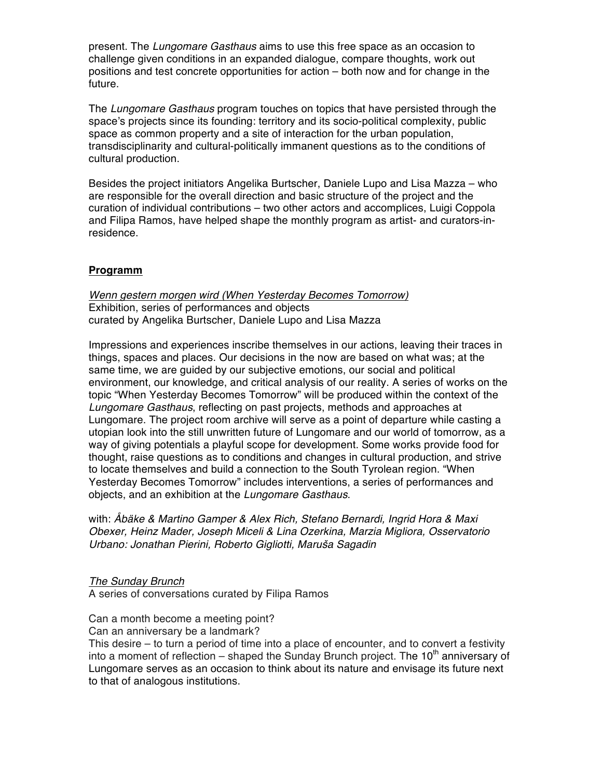present. The *Lungomare Gasthaus* aims to use this free space as an occasion to challenge given conditions in an expanded dialogue, compare thoughts, work out positions and test concrete opportunities for action – both now and for change in the future.

The *Lungomare Gasthaus* program touches on topics that have persisted through the space's projects since its founding: territory and its socio-political complexity, public space as common property and a site of interaction for the urban population, transdisciplinarity and cultural-politically immanent questions as to the conditions of cultural production.

Besides the project initiators Angelika Burtscher, Daniele Lupo and Lisa Mazza – who are responsible for the overall direction and basic structure of the project and the curation of individual contributions – two other actors and accomplices, Luigi Coppola and Filipa Ramos, have helped shape the monthly program as artist- and curators-inresidence.

# **Programm**

*Wenn gestern morgen wird (When Yesterday Becomes Tomorrow)* Exhibition, series of performances and objects curated by Angelika Burtscher, Daniele Lupo and Lisa Mazza

Impressions and experiences inscribe themselves in our actions, leaving their traces in things, spaces and places. Our decisions in the now are based on what was; at the same time, we are guided by our subjective emotions, our social and political environment, our knowledge, and critical analysis of our reality. A series of works on the topic "When Yesterday Becomes Tomorrow" will be produced within the context of the *Lungomare Gasthaus*, reflecting on past projects, methods and approaches at Lungomare. The project room archive will serve as a point of departure while casting a utopian look into the still unwritten future of Lungomare and our world of tomorrow, as a way of giving potentials a playful scope for development. Some works provide food for thought, raise questions as to conditions and changes in cultural production, and strive to locate themselves and build a connection to the South Tyrolean region. "When Yesterday Becomes Tomorrow" includes interventions, a series of performances and objects, and an exhibition at the *Lungomare Gasthaus*.

with: *Åbäke & Martino Gamper & Alex Rich, Stefano Bernardi, Ingrid Hora & Maxi Obexer, Heinz Mader, Joseph Miceli & Lina Ozerkina, Marzia Migliora, Osservatorio Urbano: Jonathan Pierini, Roberto Gigliotti, Maru*š*a Sagadin*

*The Sunday Brunch*

A series of conversations curated by Filipa Ramos

Can a month become a meeting point?

Can an anniversary be a landmark?

This desire – to turn a period of time into a place of encounter, and to convert a festivity into a moment of reflection – shaped the Sunday Brunch project. The  $10<sup>th</sup>$  anniversary of Lungomare serves as an occasion to think about its nature and envisage its future next to that of analogous institutions.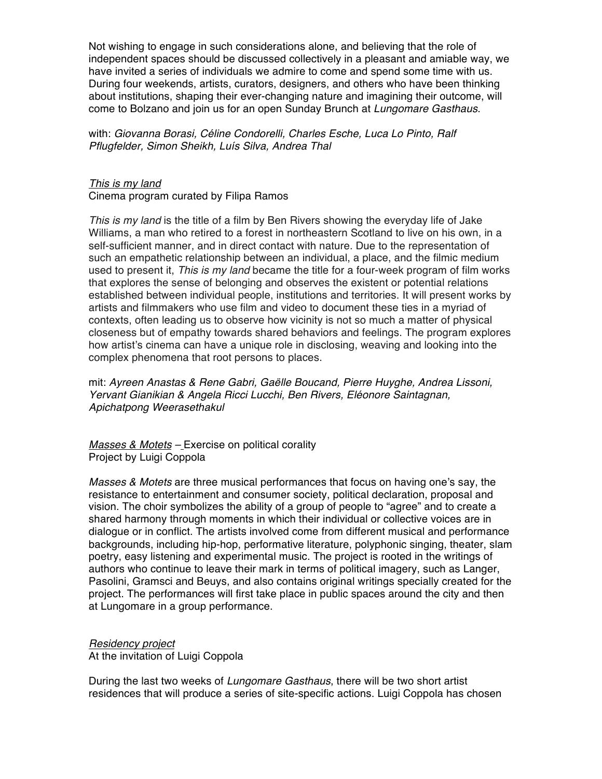Not wishing to engage in such considerations alone, and believing that the role of independent spaces should be discussed collectively in a pleasant and amiable way, we have invited a series of individuals we admire to come and spend some time with us. During four weekends, artists, curators, designers, and others who have been thinking about institutions, shaping their ever-changing nature and imagining their outcome, will come to Bolzano and join us for an open Sunday Brunch at *Lungomare Gasthaus*.

with: *Giovanna Borasi, Céline Condorelli, Charles Esche, Luca Lo Pinto, Ralf Pflugfelder, Simon Sheikh, Luís Silva, Andrea Thal*

#### *This is my land*

Cinema program curated by Filipa Ramos

*This is my land* is the title of a film by Ben Rivers showing the everyday life of Jake Williams, a man who retired to a forest in northeastern Scotland to live on his own, in a self-sufficient manner, and in direct contact with nature. Due to the representation of such an empathetic relationship between an individual, a place, and the filmic medium used to present it, *This is my land* became the title for a four-week program of film works that explores the sense of belonging and observes the existent or potential relations established between individual people, institutions and territories. It will present works by artists and filmmakers who use film and video to document these ties in a myriad of contexts, often leading us to observe how vicinity is not so much a matter of physical closeness but of empathy towards shared behaviors and feelings. The program explores how artist's cinema can have a unique role in disclosing, weaving and looking into the complex phenomena that root persons to places.

mit: *Ayreen Anastas & Rene Gabri, Gaëlle Boucand, Pierre Huyghe, Andrea Lissoni, Yervant Gianikian & Angela Ricci Lucchi, Ben Rivers, Eléonore Saintagnan, Apichatpong Weerasethakul*

*Masses & Motets –* Exercise on political corality Project by Luigi Coppola

*Masses & Motets* are three musical performances that focus on having one's say, the resistance to entertainment and consumer society, political declaration, proposal and vision. The choir symbolizes the ability of a group of people to "agree" and to create a shared harmony through moments in which their individual or collective voices are in dialogue or in conflict. The artists involved come from different musical and performance backgrounds, including hip-hop, performative literature, polyphonic singing, theater, slam poetry, easy listening and experimental music. The project is rooted in the writings of authors who continue to leave their mark in terms of political imagery, such as Langer, Pasolini, Gramsci and Beuys, and also contains original writings specially created for the project. The performances will first take place in public spaces around the city and then at Lungomare in a group performance.

#### *Residency project*

At the invitation of Luigi Coppola

During the last two weeks of *Lungomare Gasthaus*, there will be two short artist residences that will produce a series of site-specific actions. Luigi Coppola has chosen